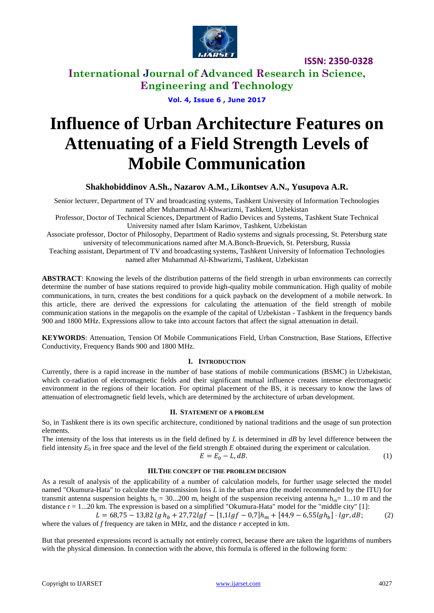

**International Journal of Advanced Research in Science, Engineering and Technology**

**Vol. 4, Issue 6 , June 2017**

# **Influence of Urban Architecture Features on Attenuating of a Field Strength Levels of Mobile Communication**

### **Shakhobiddinov A.Sh., Nazarov A.M., Likontsev A.N., Yusupova A.R.**

Senior lecturer, Department of TV and broadcasting systems, Tashkent University of Information Technologies named after Muhammad Al-Khwarizmi, Tashkent, Uzbekistan

Professor, Doctor of Technical Sciences, Department of Radio Devices and Systems, Tashkent State Technical University named after Islam Karimov, Tashkent, Uzbekistan

Associate professor, Doctor of Philosophy, Department of Radio systems and signals processing, St. Petersburg state university of telecommunications named after M.A.Bonch-Bruevich, St. Petersburg, Russia

Teaching assistant, Department of TV and broadcasting systems, Tashkent University of Information Technologies named after Muhammad Al-Khwarizmi, Tashkent, Uzbekistan

**ABSTRACT**: Knowing the levels of the distribution patterns of the field strength in urban environments can correctly determine the number of base stations required to provide high-quality mobile communication. High quality of mobile communications, in turn, creates the best conditions for a quick payback on the development of a mobile network. In this article, there are derived the expressions for calculating the attenuation of the field strength of mobile communication stations in the megapolis on the example of the capital of Uzbekistan - Tashkent in the frequency bands 900 and 1800 MHz. Expressions allow to take into account factors that affect the signal attenuation in detail.

**KEYWORDS**: Attenuation, Tension Of Mobile Communications Field, Urban Construction, Base Stations, Effective Conductivity, Frequency Bands 900 and 1800 MHz.

### **I. INTRODUCTION**

Currently, there is a rapid increase in the number of base stations of mobile communications (BSMC) in Uzbekistan, which co-radiation of electromagnetic fields and their significant mutual influence creates intense electromagnetic environment in the regions of their location. For optimal placement of the BS, it is necessary to know the laws of attenuation of electromagnetic field levels, which are determined by the architecture of urban development.

### **II. STATEMENT OF A PROBLEM**

So, in Tashkent there is its own specific architecture, conditioned by national traditions and the usage of sun protection elements.

The intensity of the loss that interests us in the field defined by *L* is determined in *dB* by level difference between the field intensity  $E_0$  in free space and the level of the field strength  $E$  obtained during the experiment or calculation.

$$
E = E_0 - L, dB. \tag{1}
$$

### **III.THE CONCEPT OF THE PROBLEM DECISION**

As a result of analysis of the applicability of a number of calculation models, for further usage selected the model named "Okumura-Hata" to calculate the transmission loss *L* in the urban area (the model recommended by the ITU) for transmit antenna suspension heights h<sub>b</sub> = 30...200 m, height of the suspension receiving antenna h<sub>m</sub>= 1...10 m and the distance r = 1...20 km. The expression is based on a simplified "Okumura-Hata" model for the "middle city" [1]:

 $L = 68,75 - 13,82$  lg  $h_h + 27,72$ lg  $f - [1,1$ lg  $f - 0,7]h_m + [44,9 - 6,55$ lg  $h_h] \cdot lgr, dB;$  (2) where the values of *f* frequency are taken in MHz, and the distance *r* accepted in km.

But that presented expressions record is actually not entirely correct, because there are taken the logarithms of numbers with the physical dimension. In connection with the above, this formula is offered in the following form: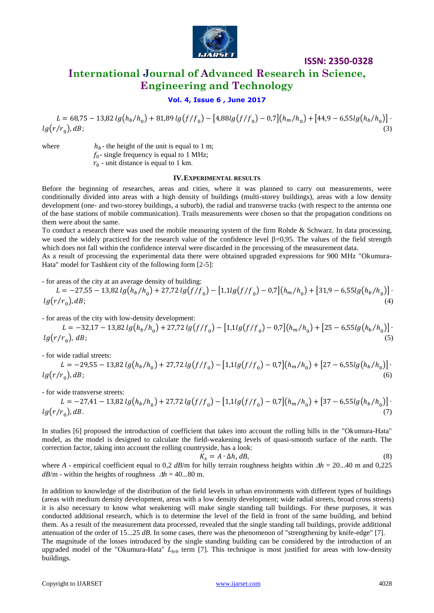

### **International Journal of Advanced Research in Science, Engineering and Technology**

### **Vol. 4, Issue 6 , June 2017**

 $L = 68.75 - 13.82 \lg(h_b/h_c) + 81.89 \lg(f/f_c) - [4.88 \lg(f/f_c) - 0.7](h_m/h_c) + [44.9 - 6.55 \lg(h_b/h_c)]$  $lg(r/r_0)$ , dB;  $\int_{\mathcal{A}} dE;$  (3)

where  $h_b$ - the height of the unit is equal to 1 m;  $f_0$ - single frequency is equal to 1 MHz;  $r_0$  - unit distance is equal to 1 km.

#### **IV.EXPERIMENTAL RESULTS**

Before the beginning of researches, areas and cities, where it was planned to carry out measurements, were conditionally divided into areas with a high density of buildings (multi-storey buildings), areas with a low density development (one- and two-storey buildings, a suburb), the radial and transverse tracks (with respect to the antenna one of the base stations of mobile communication). Trails measurements were chosen so that the propagation conditions on them were about the same.

To conduct a research there was used the mobile measuring system of the firm Rohde & Schwarz. In data processing, we used the widely practiced for the research value of the confidence level  $\beta$ =0,95. The values of the field strength which does not fall within the confidence interval were discarded in the processing of the measurement data.

As a result of processing the experimental data there were obtained upgraded expressions for 900 MHz "Okumura-Hata" model for Tashkent city of the following form [2-5]:

- for areas of the city at an average density of building:

$$
L = -27,55 - 13,82 \lg(h_b/h_0) + 27,72 \lg(f/f_0) - [1,1\lg(f/f_0) - 0,7](h_m/h_0) + [31,9 - 6,55\lg(h_b/h_0)] \cdot \lg(r/r_0), dB;
$$
\n(4)

- for areas of the city with low-density development:

$$
L = -32.17 - 13.82 \lg(h_b/h_0) + 27.72 \lg(f/f_0) - [1.1 \lg(f/f_0) - 0.7] (h_m/h_0) + [25 - 6.55 \lg(h_b/h_0)] \cdot \lg(r/r_0), \, dB; \tag{5}
$$

- for wide radial streets:

$$
L = -29,55 - 13,82 \lg(h_b/h_0) + 27,72 \lg(f/f_0) - [1,1\lg(f/f_0) - 0.7](h_m/h_0) + [27 - 6,55\lg(h_b/h_0)] \cdot \lg(r/r_0), dB;
$$
\n
$$
(6)
$$

- for wide transverse streets:

$$
L = -27,41 - 13,82 \lg(h_b/h_0) + 27,72 \lg(f/f_0) - [1,1\lg(f/f_0) - 0.7](h_m/h_0) + [37 - 6,55\lg(h_b/h_0)] \cdot \lg(r/r_0), dB.
$$
\n(7)

In studies [6] proposed the introduction of coefficient that takes into account the rolling hills in the "Okumura-Hata" model, as the model is designed to calculate the field-weakening levels of quasi-smooth surface of the earth. The correction factor, taking into account the rolling countryside, has a look:

$$
K_x = A \cdot \Delta h, dB,\tag{8}
$$

where *A* - empirical coefficient equal to 0,2 *dB*/m for hilly terrain roughness heights within  $\Delta h = 20...40$  m and 0,225  $dB/m$  - within the heights of roughness  $\Delta h = 40...80$  m.

In addition to knowledge of the distribution of the field levels in urban environments with different types of buildings (areas with medium density development, areas with a low density development; wide radial streets, broad cross streets) it is also necessary to know what weakening will make single standing tall buildings. For these purposes, it was conducted additional research, which is to determine the level of the field in front of the same building, and behind them. As a result of the measurement data processed, revealed that the single standing tall buildings, provide additional attenuation of the order of 15...25 *dB*. In some cases, there was the phenomenon of "strengthening by knife-edge" [7]. The magnitude of the losses introduced by the single standing building can be considered by the introduction of an upgraded model of the "Okumura-Hata" *Lhrb* term [7]. This technique is most justified for areas with low-density buildings.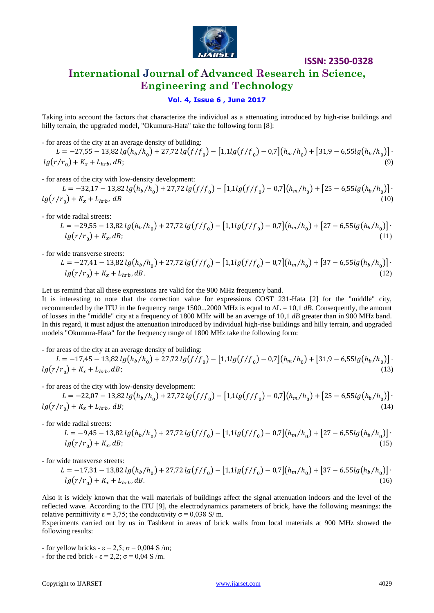

### **International Journal of Advanced Research in Science, Engineering and Technology**

### **Vol. 4, Issue 6 , June 2017**

Taking into account the factors that characterize the individual as a attenuating introduced by high-rise buildings and hilly terrain, the upgraded model, "Okumura-Hata" take the following form [8]:

- for areas of the city at an average density of building:  $L = -27.55 - 13.82 \lg(h_b/h_a) + 27.72 \lg(f/f_a) - 11.1 \lg(f/f_a) - 0.7 \left[ (h_m/h_a) + 31.9 - 6.55 \lg(h_b/h_a) \right]$  $lg(r/r_0) + K_x + L_{hrb}, dB;$  (9)

- for areas of the city with low-density development:

 $L = -32.17 - 13.82 \lg(h_b/h_c) + 27.72 \lg(f/f_c) - [1.1 \lg(f/f_c) - 0.7](h_m/h_c) + [25 - 6.55 \lg(h_b/h_c)]$  $lg(r/r_0) + K_x + L_{hrb}$ , dB (10)

- for wide radial streets:

$$
L = -29,55 - 13,82 \lg(h_b/h_0) + 27,72 \lg(f/f_0) - [1,1\lg(f/f_0) - 0,7](h_m/h_0) + [27 - 6,55\lg(h_b/h_0)] \cdot
$$
  

$$
\lg(r/r_0) + K_x, dB;
$$
 (11)

- for wide transverse streets:

$$
L = -27,41 - 13,82 \lg(h_b/h_0) + 27,72 \lg(f/f_0) - [1,1\lg(f/f_0) - 0,7](h_m/h_0) + [37 - 6,55\lg(h_b/h_0)] \cdot
$$
  

$$
\lg(r/r_0) + K_x + L_{hrb}, dB.
$$
 (12)

Let us remind that all these expressions are valid for the 900 MHz frequency band.

It is interesting to note that the correction value for expressions COST 231-Hata [2] for the "middle" city, recommended by the ITU in the frequency range 1500...2000 MHz is equal to  $\Delta L = 10.1$  dB. Consequently, the amount of losses in the "middle" city at a frequency of 1800 MHz will be an average of 10,1 *dB* greater than in 900 MHz band. In this regard, it must adjust the attenuation introduced by individual high-rise buildings and hilly terrain, and upgraded models "Okumura-Hata" for the frequency range of 1800 MHz take the following form:

- for areas of the city at an average density of building:

 $L = -17.45 - 13.82 \lg(h_b/h_a) + 27.72 \lg(f/f_a) - [1.1 \lg(f/f_a) - 0.7] (h_m/h_a) + [31.9 - 6.55 \lg(h_b/h_a)]$  $lg(r/r_0) + K_x + L_{hrb}, dB;$  (13)

- for areas of the city with low-density development:

 $L = -22.07 - 13.82 \lg(h_b/h_c) + 27.72 \lg(f/f_c) - [1.1 \lg(f/f_c) - 0.7](h_m/h_c) + [25 - 6.55 \lg(h_b/h_c)]$  $lg(r/r_0) + K_x + L_{hrb}$ , dB; (14)

- for wide radial streets:

$$
L = -9.45 - 13.82 \lg(h_b/h_0) + 27.72 \lg(f/f_0) - [1.1 \lg(f/f_0) - 0.7] (h_m/h_0) + [27 - 6.55 \lg(h_b/h_0)] \cdot \lg(r/r_0) + K_x dB;
$$
\n(15)

- for wide transverse streets:

$$
L = -17,31 - 13,82 \lg(h_b/h_0) + 27,72 \lg(f/f_0) - [1,1\lg(f/f_0) - 0,7](h_m/h_0) + [37 - 6,55\lg(h_b/h_0)] \cdot \lg(r/r_0) + K_x + L_{hrb}, dB.
$$
\n(16)

Also it is widely known that the wall materials of buildings affect the signal attenuation indoors and the level of the reflected wave. According to the ITU [9], the electrodynamics parameters of brick, have the following meanings: the relative permittivity  $\varepsilon = 3.75$ ; the conductivity  $\sigma = 0.038$  S/m.

Experiments carried out by us in Tashkent in areas of brick walls from local materials at 900 MHz showed the following results:

- for yellow bricks -  $\varepsilon = 2.5$ ;  $\sigma = 0.004$  S/m; - for the red brick -  $\varepsilon = 2.2$ ;  $\sigma = 0.04$  S/m.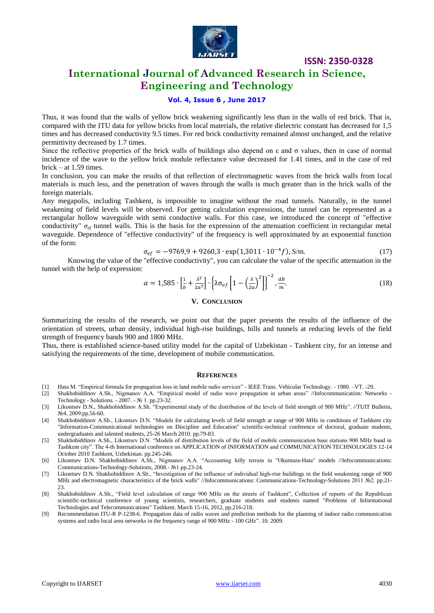

### **International Journal of Advanced Research in Science, Engineering and Technology**

### **Vol. 4, Issue 6 , June 2017**

Thus, it was found that the walls of yellow brick weakening significantly less than in the walls of red brick. That is, compared with the ITU data for yellow bricks from local materials, the relative dielectric constant has decreased for 1,5 times and has decreased conductivity 9.5 times. For red brick conductivity remained almost unchanged, and the relative permittivity decreased by 1.7 times.

Since the reflective properties of the brick walls of buildings also depend on  $\varepsilon$  and  $\sigma$  values, then in case of normal incidence of the wave to the yellow brick module reflectance value decreased for 1.41 times, and in the case of red brick – at 1.59 times.

In conclusion, you can make the results of that reflection of electromagnetic waves from the brick walls from local materials is much less, and the penetration of waves through the walls is much greater than in the brick walls of the foreign materials.

Any megapolis, including Tashkent, is impossible to imagine without the road tunnels. Naturally, in the tunnel weakening of field levels will be observed. For getting calculation expressions, the tunnel can be represented as a rectangular hollow waveguide with semi conductive walls. For this case, we introduced the concept of "effective conductivity"  $\sigma_{ef}$  tunnel walls. This is the basis for the expression of the attenuation coefficient in rectangular metal waveguide. Dependence of "effective conductivity" of the frequency is well approximated by an exponential function of the form:

$$
\sigma_{ef} = -9769.9 + 9260.3 \cdot \exp(1.3011 \cdot 10^{-4} f), \text{ S/m.}
$$
 (17)

Knowing the value of the "effective conductivity", you can calculate the value of the specific attenuation in the tunnel with the help of expression:

$$
\alpha = 1,585 \cdot \left[\frac{1}{b} + \frac{\lambda^2}{2a^3}\right] \cdot \left\{\lambda \sigma_{ef} \left[1 - \left(\frac{\lambda}{2a}\right)^2\right]\right\}^{-2}, \frac{dB}{m}.
$$
\n(18)

#### **V. CONCLUSION**

Summarizing the results of the research, we point out that the paper presents the results of the influence of the orientation of streets, urban density, individual high-rise buildings, hills and tunnels at reducing levels of the field strength of frequency bands 900 and 1800 MHz.

Thus, there is established science-based utility model for the capital of Uzbekistan - Tashkent city, for an intense and satisfying the requirements of the time, development of mobile communication.

#### **REFERENCES**

- [1] Hata M. "Empirical formula for propagation loss in land mobile radio services" IEEE Trans. Vehicular Technology. 1980. –VT. -29.
- [2] Shakhobiddinov A.Sh., Nigmanov A.A. "Empirical model of radio wave propagation in urban areas" //Infocommunication: Networks Technology - Solutions. - 2007. - № 1. pp.23-32.
- [3] Likontsev D.N., Shakhobiddinov A.Sh. "Experimental study of the distribution of the levels of field strength of 900 MHz". //TUIT Bulletin, №4, 2009.pp.56-60.
- [4] Shakhobiddinov A.Sh., Likontsev D.N. "Models for calculating levels of field strength at range of 900 MHz in conditions of Tashkent city "Information-Communicational technologies on Discipline and Education" scientific-technical conference of doctoral, graduate students, undergraduates and talented students, 25-26 March 2010. pp.79-83.
- [5] Shakhobiddinov A.Sh., Likontsev D.N. "Models of distribution levels of the field of mobile communication base stations 900 MHz band in Tashkent city". The 4-th International conference on APPLICATION of INFORMATION and COMMUNICATION TECHNOLOGIES 12-14 October 2010 Tashkent, Uzbekistan. pp.245-246.
- [6] Likontsev D.N. Shakhobiddinov A.Sh., Nigmanov A.A. "Accounting hilly terrain in "Okumura-Hata" models //Infocommunications: Communications-Technology-Solutions, 2008.- №1.pp.23-24.
- [7] Likontsev D.N. Shakhobiddinov A.Sh., "Investigation of the influence of individual high-rise buildings in the field weakening range of 900 MHz and electromagnetic characteristics of the brick walls" //Infocommunications: Communications-Technology-Solutions 2011 №2. pp.21-  $23$
- [8] Shakhobiddinov A.Sh., "Field level calculation of range 900 MHz on the streets of Tashkent", Collection of reports of the Republican scientific-technical conference of young scientists, researchers, graduate students and students named "Problems of Informational Technologies and Telecommunications" Tashkent. March 15-16, 2012, pp.216-218.
- [9] Recommendation ITU-R P-1238-6. Propagation data of radio waves and prediction methods for the planning of indoor radio communication systems and radio local area networks in the frequency range of 900 MHz - 100 GHz". 10. 2009.